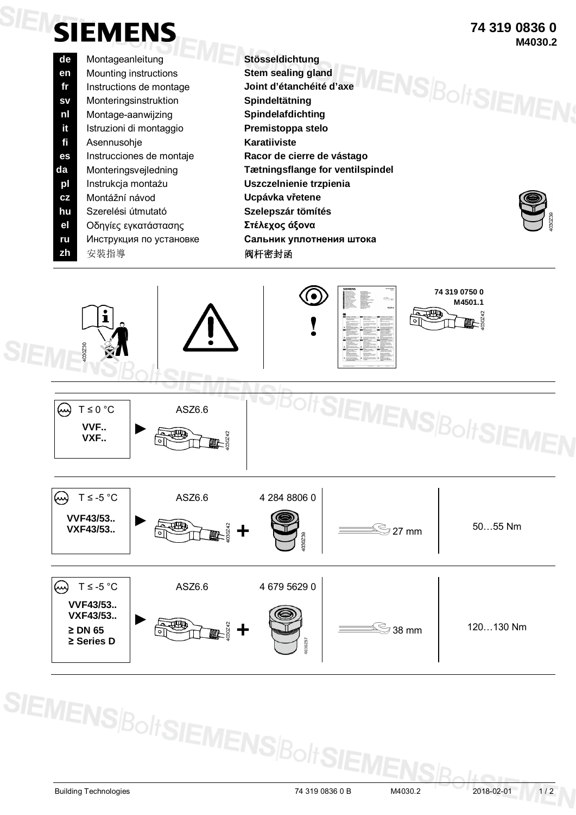## **SIENSIEMENS**

- **de** Montageanleitung **Stösseldichtung en** Mounting instructions **Stem sealing gland fr** Instructions de montage **Joint d'étanchéité d'axe sv** Monteringsinstruktion **Spindeltätning nl** Montage-aanwijzing **Spindelafdichting it** Istruzioni di montaggio **Premistoppa stelo fi** Asennusohje **Karatiiviste es** Instrucciones de montaje **Racor de cierre de vástago da** Monteringsvejledning **Tætningsflange for ventilspindel pl** Instrukcja montażu **Uszczelnienie trzpienia cz** Montážní návod **Ucpávka vřetene hu** Szerelési útmutató **Szelepszár tömítés el** Οδηγίες εγκατάστασης **Στέλεχος άξονα ru** Инструкция по установке **Сальник уплотнения штока** zh 安裝指導<br> **zh** 安裝指導
- **MENSBoltSIEMEI**
- **74 319 0836 0 M4030.2**